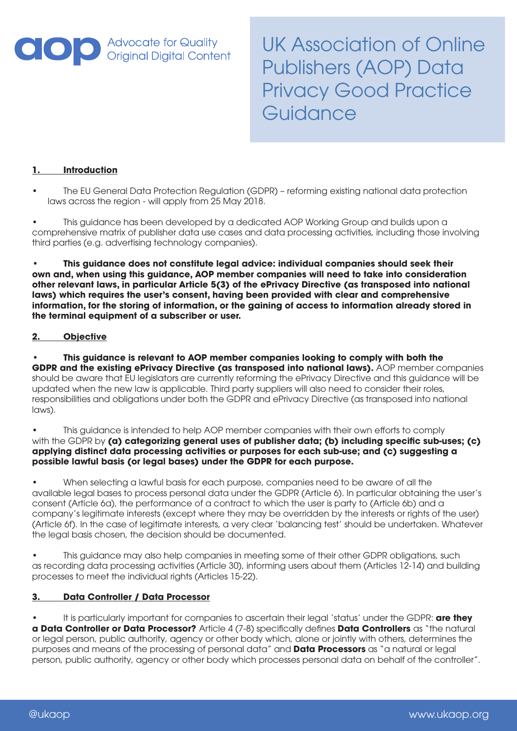

UK Association of Online Publishers (AOP) Data Privacy Good Practice **Guidance** 

# **1. Introduction**

• The EU General Data Protection Regulation (GDPR) – reforming existing national data protection laws across the region - will apply from 25 May 2018.

• This guidance has been developed by a dedicated AOP Working Group and builds upon a comprehensive matrix of publisher data use cases and data processing activities, including those involving third parties (e.g. advertising technology companies).

**• This guidance does not constitute legal advice: individual companies should seek their own and, when using this guidance, AOP member companies will need to take into consideration other relevant laws, in particular Article 5(3) of the ePrivacy Directive (as transposed into national laws) which requires the user's consent, having been provided with clear and comprehensive information, for the storing of information, or the gaining of access to information already stored in the terminal equipment of a subscriber or user.**

# **2. Objective**

**• This guidance is relevant to AOP member companies looking to comply with both the GDPR and the existing ePrivacy Directive (as transposed into national laws).** AOP member companies should be aware that EU legislators are currently reforming the ePrivacy Directive and this guidance will be updated when the new law is applicable. Third party suppliers will also need to consider their roles, responsibilities and obligations under both the GDPR and ePrivacy Directive (as transposed into national laws).

• This guidance is intended to help AOP member companies with their own efforts to comply with the GDPR by **(a) categorizing general uses of publisher data; <b>(b) including specific sub-uses; (c) applying distinct data processing activities or purposes for each sub-use; and (c) suggesting a possible lawful basis (or legal bases) under the GDPR for each purpose.** 

• When selecting a lawful basis for each purpose, companies need to be aware of all the available legal bases to process personal data under the GDPR (Article 6). In particular obtaining the user's consent (Article 6a), the performance of a contract to which the user is party to (Article 6b) and a company's legitimate interests (except where they may be overridden by the interests or rights of the user) (Article 6f). In the case of legitimate interests, a very clear 'balancing test' should be undertaken. Whatever the legal basis chosen, the decision should be documented.

This guidance may also help companies in meeting some of their other GDPR obligations, such as recording data processing activities (Article 30), informing users about them (Articles 12-14) and building processes to meet the individual rights (Articles 15-22).

#### **3. Data Controller / Data Processor**

• It is particularly important for companies to ascertain their legal 'status' under the GDPR: **are they a Data Controller or Data Processor?** Article 4 (7-8) specifically defines **Data Controllers** as "the natural or legal person, public authority, agency or other body which, alone or jointly with others, determines the purposes and means of the processing of personal data" and **Data Processors** as "a natural or legal person, public authority, agency or other body which processes personal data on behalf of the controller".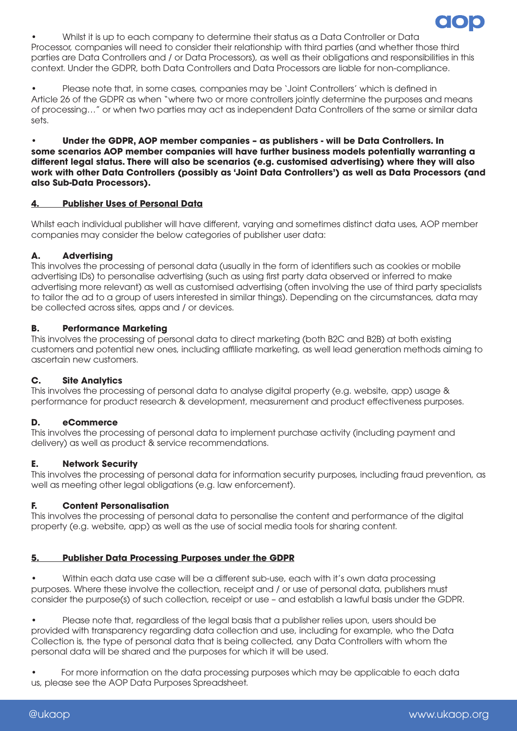

• Whilst it is up to each company to determine their status as a Data Controller or Data Processor, companies will need to consider their relationship with third parties (and whether those third parties are Data Controllers and / or Data Processors), as well as their obligations and responsibilities in this context. Under the GDPR, both Data Controllers and Data Processors are liable for non-compliance.

• Please note that, in some cases, companies may be 'Joint Controllers' which is defined in Article 26 of the GDPR as when "where two or more controllers jointly determine the purposes and means of processing…" or when two parties may act as independent Data Controllers of the same or similar data sets.

• **Under the GDPR, AOP member companies – as publishers - will be Data Controllers. In some scenarios AOP member companies will have further business models potentially warranting a different legal status. There will also be scenarios (e.g. customised advertising) where they will also work with other Data Controllers (possibly as 'Joint Data Controllers') as well as Data Processors (and also Sub-Data Processors).**

# **4. Publisher Uses of Personal Data**

Whilst each individual publisher will have different, varying and sometimes distinct data uses, AOP member companies may consider the below categories of publisher user data:

# **A. Advertising**

This involves the processing of personal data (usually in the form of identifiers such as cookies or mobile advertising IDs) to personalise advertising (such as using first party data observed or inferred to make advertising more relevant) as well as customised advertising (often involving the use of third party specialists to tailor the ad to a group of users interested in similar things). Depending on the circumstances, data may be collected across sites, apps and / or devices.

# **B. Performance Marketing**

This involves the processing of personal data to direct marketing (both B2C and B2B) at both existing customers and potential new ones, including affiliate marketing, as well lead generation methods aiming to ascertain new customers.

#### **C. Site Analytics**

This involves the processing of personal data to analyse digital property (e.g. website, app) usage & performance for product research & development, measurement and product effectiveness purposes.

#### **D. eCommerce**

This involves the processing of personal data to implement purchase activity (including payment and delivery) as well as product & service recommendations.

#### **E. Network Security**

This involves the processing of personal data for information security purposes, including fraud prevention, as well as meeting other legal obligations (e.g. law enforcement).

#### **F. Content Personalisation**

This involves the processing of personal data to personalise the content and performance of the digital property (e.g. website, app) as well as the use of social media tools for sharing content.

#### **5. Publisher Data Processing Purposes under the GDPR**

• Within each data use case will be a different sub-use, each with it's own data processing purposes. Where these involve the collection, receipt and / or use of personal data, publishers must consider the purpose(s) of such collection, receipt or use – and establish a lawful basis under the GDPR.

• Please note that, regardless of the legal basis that a publisher relies upon, users should be provided with transparency regarding data collection and use, including for example, who the Data Collection is, the type of personal data that is being collected, any Data Controllers with whom the personal data will be shared and the purposes for which it will be used.

• For more information on the data processing purposes which may be applicable to each data us, please see the AOP Data Purposes Spreadsheet.